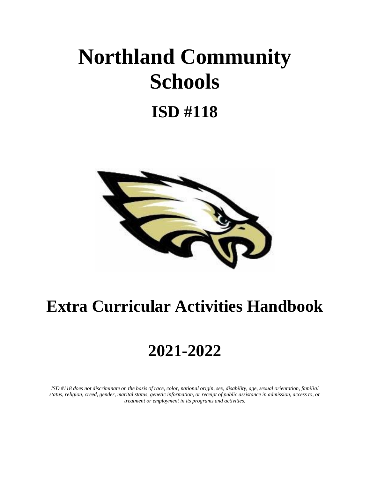# **Northland Community Schools**

# **ISD #118**



# **Extra Curricular Activities Handbook**

# **2021-2022**

*ISD #118 does not discriminate on the basis of race, color, national origin, sex, disability, age, sexual orientation, familial status, religion, creed, gender, marital status, genetic information, or receipt of public assistance in admission, access to, or treatment or employment in its programs and activities.*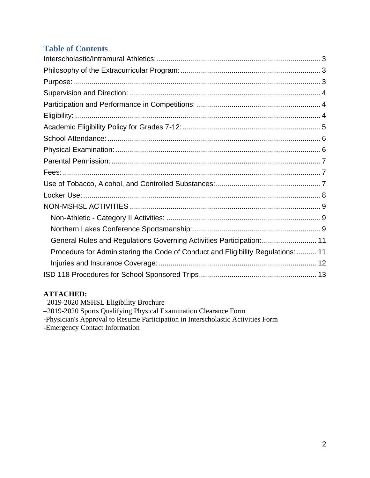# **Table of Contents**

| General Rules and Regulations Governing Activities Participation:  11            |  |
|----------------------------------------------------------------------------------|--|
| Procedure for Administering the Code of Conduct and Eligibility Regulations:  11 |  |
|                                                                                  |  |
|                                                                                  |  |
|                                                                                  |  |

#### **ATTACHED:**

–2019-2020 MSHSL Eligibility Brochure

–2019-2020 Sports Qualifying Physical Examination Clearance Form

-Physician's Approval to Resume Participation in Interscholastic Activities Form

-Emergency Contact Information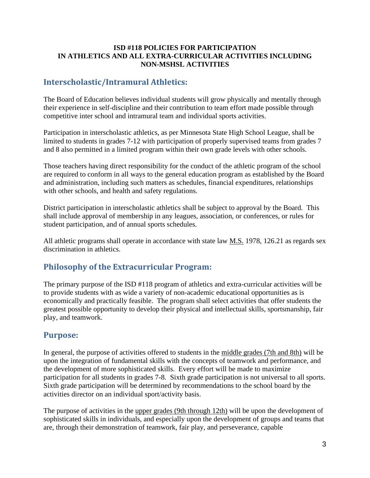#### **ISD #118 POLICIES FOR PARTICIPATION IN ATHLETICS AND ALL EXTRA-CURRICULAR ACTIVITIES INCLUDING NON-MSHSL ACTIVITIES**

### <span id="page-2-0"></span>**Interscholastic/Intramural Athletics:**

The Board of Education believes individual students will grow physically and mentally through their experience in self-discipline and their contribution to team effort made possible through competitive inter school and intramural team and individual sports activities.

Participation in interscholastic athletics, as per Minnesota State High School League, shall be limited to students in grades 7-12 with participation of properly supervised teams from grades 7 and 8 also permitted in a limited program within their own grade levels with other schools.

Those teachers having direct responsibility for the conduct of the athletic program of the school are required to conform in all ways to the general education program as established by the Board and administration, including such matters as schedules, financial expenditures, relationships with other schools, and health and safety regulations.

District participation in interscholastic athletics shall be subject to approval by the Board. This shall include approval of membership in any leagues, association, or conferences, or rules for student participation, and of annual sports schedules.

All athletic programs shall operate in accordance with state law M.S. 1978, 126.21 as regards sex discrimination in athletics.

# <span id="page-2-1"></span>**Philosophy of the Extracurricular Program:**

The primary purpose of the ISD #118 program of athletics and extra-curricular activities will be to provide students with as wide a variety of non-academic educational opportunities as is economically and practically feasible. The program shall select activities that offer students the greatest possible opportunity to develop their physical and intellectual skills, sportsmanship, fair play, and teamwork.

#### <span id="page-2-2"></span>**Purpose:**

In general, the purpose of activities offered to students in the middle grades (7th and 8th) will be upon the integration of fundamental skills with the concepts of teamwork and performance, and the development of more sophisticated skills. Every effort will be made to maximize participation for all students in grades 7-8. Sixth grade participation is not universal to all sports. Sixth grade participation will be determined by recommendations to the school board by the activities director on an individual sport/activity basis.

The purpose of activities in the upper grades (9th through 12th) will be upon the development of sophisticated skills in individuals, and especially upon the development of groups and teams that are, through their demonstration of teamwork, fair play, and perseverance, capable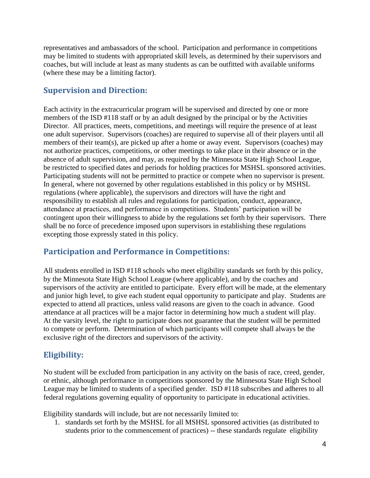representatives and ambassadors of the school. Participation and performance in competitions may be limited to students with appropriated skill levels, as determined by their supervisors and coaches, but will include at least as many students as can be outfitted with available uniforms (where these may be a limiting factor).

# <span id="page-3-0"></span>**Supervision and Direction:**

Each activity in the extracurricular program will be supervised and directed by one or more members of the ISD #118 staff or by an adult designed by the principal or by the Activities Director. All practices, meets, competitions, and meetings will require the presence of at least one adult supervisor. Supervisors (coaches) are required to supervise all of their players until all members of their team(s), are picked up after a home or away event. Supervisors (coaches) may not authorize practices, competitions, or other meetings to take place in their absence or in the absence of adult supervision, and may, as required by the Minnesota State High School League, be restricted to specified dates and periods for holding practices for MSHSL sponsored activities. Participating students will not be permitted to practice or compete when no supervisor is present. In general, where not governed by other regulations established in this policy or by MSHSL regulations (where applicable), the supervisors and directors will have the right and responsibility to establish all rules and regulations for participation, conduct, appearance, attendance at practices, and performance in competitions. Students' participation will be contingent upon their willingness to abide by the regulations set forth by their supervisors. There shall be no force of precedence imposed upon supervisors in establishing these regulations excepting those expressly stated in this policy.

# <span id="page-3-1"></span>**Participation and Performance in Competitions:**

All students enrolled in ISD #118 schools who meet eligibility standards set forth by this policy, by the Minnesota State High School League (where applicable), and by the coaches and supervisors of the activity are entitled to participate. Every effort will be made, at the elementary and junior high level, to give each student equal opportunity to participate and play. Students are expected to attend all practices, unless valid reasons are given to the coach in advance. Good attendance at all practices will be a major factor in determining how much a student will play. At the varsity level, the right to participate does not guarantee that the student will be permitted to compete or perform. Determination of which participants will compete shall always be the exclusive right of the directors and supervisors of the activity.

# <span id="page-3-2"></span>**Eligibility:**

No student will be excluded from participation in any activity on the basis of race, creed, gender, or ethnic, although performance in competitions sponsored by the Minnesota State High School League may be limited to students of a specified gender. ISD #118 subscribes and adheres to all federal regulations governing equality of opportunity to participate in educational activities.

Eligibility standards will include, but are not necessarily limited to:

1. standards set forth by the MSHSL for all MSHSL sponsored activities (as distributed to students prior to the commencement of practices) -- these standards regulate eligibility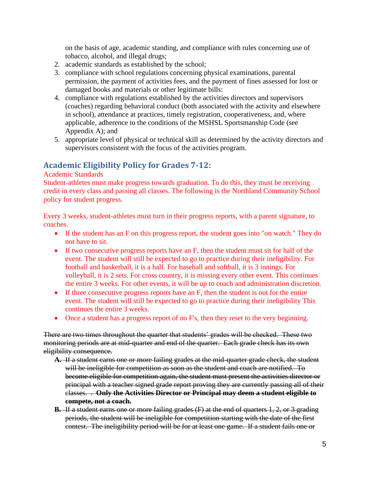on the basis of age, academic standing, and compliance with rules concerning use of tobacco, alcohol, and illegal drugs;

- 2. academic standards as established by the school;
- 3. compliance with school regulations concerning physical examinations, parental permission, the payment of activities fees, and the payment of fines assessed for lost or damaged books and materials or other legitimate bills:
- 4. compliance with regulations established by the activities directors and supervisors (coaches) regarding behavioral conduct (both associated with the activity and elsewhere in school), attendance at practices, timely registration, cooperativeness, and, where applicable, adherence to the conditions of the MSHSL Sportsmanship Code (see Appendix A); and
- 5. appropriate level of physical or technical skill as determined by the activity directors and supervisors consistent with the focus of the activities program.

# <span id="page-4-0"></span>**Academic Eligibility Policy for Grades 7-12:**

#### Academic Standards

Student-athletes must make progress towards graduation. To do this, they must be receiving credit in every class and passing all classes. The following is the Northland Community School policy for student progress.

Every 3 weeks, student-athletes must turn in their progress reports, with a parent signature, to coaches.

- If the student has an F on this progress report, the student goes into "on watch." They do not have to sit.
- If two consecutive progress reports have an F, then the student must sit for half of the event. The student will still be expected to go to practice during their ineligibility. For football and basketball, it is a half. For baseball and softball, it is 3 innings. For volleyball, it is 2 sets. For cross country, it is missing every other event. This continues the entire 3 weeks. For other events, it will be up to coach and administration discretion.
- If three consecutive progress reports have an F, then the student is out for the entire event. The student will still be expected to go to practice during their ineligibility This continues the entire 3 weeks.
- Once a student has a progress report of no F's, then they reset to the very beginning.

There are two times throughout the quarter that students' grades will be checked. These two monitoring periods are at mid-quarter and end of the quarter. Each grade check has its own eligibility consequence.

- **A.** If a student earns one or more failing grades at the mid-quarter grade check, the student will be ineligible for competition as soon as the student and coach are notified. To become eligible for competition again, the student must present the activities director or principal with a teacher signed grade report proving they are currently passing all of their classes. . **Only the Activities Director or Principal may deem a student eligible to compete, not a coach.**
- **B.** If a student earns one or more failing grades (F) at the end of quarters 1, 2, or 3 grading periods, the student will be ineligible for competition starting with the date of the first contest. The ineligibility period will be for at least one game. If a student fails one or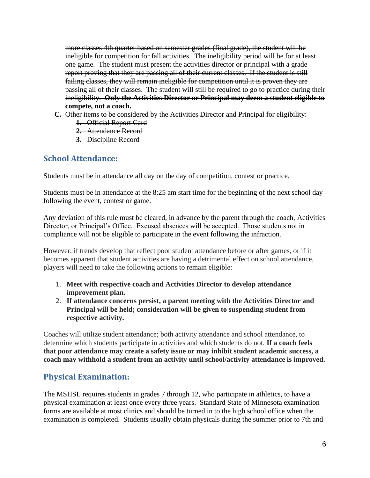more classes 4th quarter based on semester grades (final grade), the student will be ineligible for competition for fall activities. The ineligibility period will be for at least one game. The student must present the activities director or principal with a grade report proving that they are passing all of their current classes. If the student is still failing classes, they will remain ineligible for competition until it is proven they are passing all of their classes. The student will still be required to go to practice during their ineligibility. **Only the Activities Director or Principal may deem a student eligible to compete, not a coach.**

- **C.** Other items to be considered by the Activities Director and Principal for eligibility:
	- **1.** Official Report Card
	- **2.** Attendance Record
	- **3.** Discipline Record

#### <span id="page-5-0"></span>**School Attendance:**

Students must be in attendance all day on the day of competition, contest or practice.

Students must be in attendance at the 8:25 am start time for the beginning of the next school day following the event, contest or game.

Any deviation of this rule must be cleared, in advance by the parent through the coach, Activities Director, or Principal's Office. Excused absences will be accepted. Those students not in compliance will not be eligible to participate in the event following the infraction.

However, if trends develop that reflect poor student attendance before or after games, or if it becomes apparent that student activities are having a detrimental effect on school attendance, players will need to take the following actions to remain eligible:

- 1. **Meet with respective coach and Activities Director to develop attendance improvement plan.**
- 2. **If attendance concerns persist, a parent meeting with the Activities Director and Principal will be held; consideration will be given to suspending student from respective activity.**

Coaches will utilize student attendance; both activity attendance and school attendance, to determine which students participate in activities and which students do not. **If a coach feels that poor attendance may create a safety issue or may inhibit student academic success, a coach may withhold a student from an activity until school/activity attendance is improved.**

# <span id="page-5-1"></span>**Physical Examination:**

The MSHSL requires students in grades 7 through 12, who participate in athletics, to have a physical examination at least once every three years. Standard State of Minnesota examination forms are available at most clinics and should be turned in to the high school office when the examination is completed. Students usually obtain physicals during the summer prior to 7th and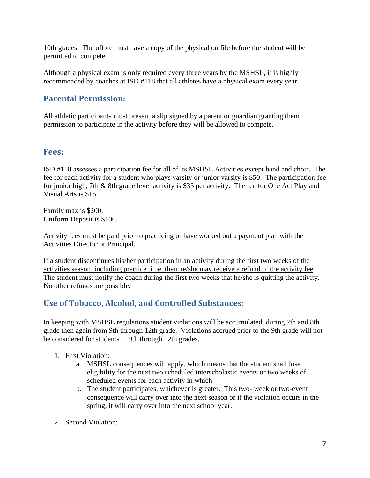10th grades. The office must have a copy of the physical on file before the student will be permitted to compete.

Although a physical exam is only required every three years by the MSHSL, it is highly recommended by coaches at ISD #118 that all athletes have a physical exam every year.

# <span id="page-6-0"></span>**Parental Permission:**

All athletic participants must present a slip signed by a parent or guardian granting them permission to participate in the activity before they will be allowed to compete.

#### <span id="page-6-1"></span>**Fees:**

ISD #118 assesses a participation fee for all of its MSHSL Activities except band and choir. The fee for each activity for a student who plays varsity or junior varsity is \$50. The participation fee for junior high, 7th & 8th grade level activity is \$35 per activity. The fee for One Act Play and Visual Arts is \$15.

Family max is \$200. Uniform Deposit is \$100.

Activity fees must be paid prior to practicing or have worked out a payment plan with the Activities Director or Principal.

If a student discontinues his/her participation in an activity during the first two weeks of the activities season, including practice time, then he/she may receive a refund of the activity fee. The student must notify the coach during the first two weeks that he/she is quitting the activity. No other refunds are possible.

# <span id="page-6-2"></span>**Use of Tobacco, Alcohol, and Controlled Substances:**

In keeping with MSHSL regulations student violations will be accumulated, during 7th and 8th grade then again from 9th through 12th grade. Violations accrued prior to the 9th grade will not be considered for students in 9th through 12th grades.

- 1. First Violation:
	- a. MSHSL consequences will apply, which means that the student shall lose eligibility for the next two scheduled interscholastic events or two weeks of scheduled events for each activity in which
	- b. The student participates, whichever is greater. This two- week or two-event consequence will carry over into the next season or if the violation occurs in the spring, it will carry over into the next school year.
- 2. Second Violation: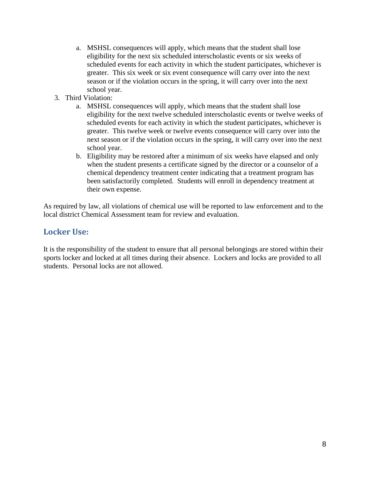- a. MSHSL consequences will apply, which means that the student shall lose eligibility for the next six scheduled interscholastic events or six weeks of scheduled events for each activity in which the student participates, whichever is greater. This six week or six event consequence will carry over into the next season or if the violation occurs in the spring, it will carry over into the next school year.
- 3. Third Violation:
	- a. MSHSL consequences will apply, which means that the student shall lose eligibility for the next twelve scheduled interscholastic events or twelve weeks of scheduled events for each activity in which the student participates, whichever is greater. This twelve week or twelve events consequence will carry over into the next season or if the violation occurs in the spring, it will carry over into the next school year.
	- b. Eligibility may be restored after a minimum of six weeks have elapsed and only when the student presents a certificate signed by the director or a counselor of a chemical dependency treatment center indicating that a treatment program has been satisfactorily completed. Students will enroll in dependency treatment at their own expense.

As required by law, all violations of chemical use will be reported to law enforcement and to the local district Chemical Assessment team for review and evaluation.

### <span id="page-7-0"></span>**Locker Use:**

It is the responsibility of the student to ensure that all personal belongings are stored within their sports locker and locked at all times during their absence. Lockers and locks are provided to all students. Personal locks are not allowed.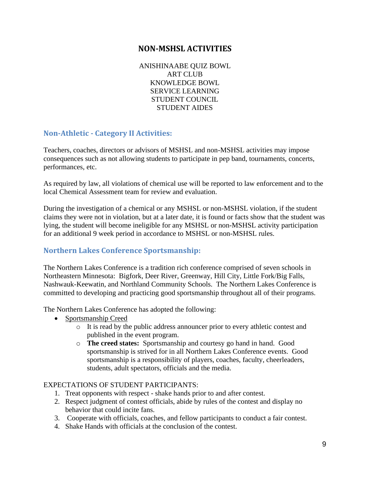#### **NON-MSHSL ACTIVITIES**

ANISHINAABE QUIZ BOWL ART CLUB KNOWLEDGE BOWL SERVICE LEARNING STUDENT COUNCIL STUDENT AIDES

#### <span id="page-8-1"></span><span id="page-8-0"></span>**Non-Athletic - Category II Activities:**

Teachers, coaches, directors or advisors of MSHSL and non-MSHSL activities may impose consequences such as not allowing students to participate in pep band, tournaments, concerts, performances, etc.

As required by law, all violations of chemical use will be reported to law enforcement and to the local Chemical Assessment team for review and evaluation.

During the investigation of a chemical or any MSHSL or non-MSHSL violation, if the student claims they were not in violation, but at a later date, it is found or facts show that the student was lying, the student will become ineligible for any MSHSL or non-MSHSL activity participation for an additional 9 week period in accordance to MSHSL or non-MSHSL rules.

#### <span id="page-8-2"></span>**Northern Lakes Conference Sportsmanship:**

The Northern Lakes Conference is a tradition rich conference comprised of seven schools in Northeastern Minnesota: Bigfork, Deer River, Greenway, Hill City, Little Fork/Big Falls, Nashwauk-Keewatin, and Northland Community Schools. The Northern Lakes Conference is committed to developing and practicing good sportsmanship throughout all of their programs.

The Northern Lakes Conference has adopted the following:

- Sportsmanship Creed
	- o It is read by the public address announcer prior to every athletic contest and published in the event program.
	- o **The creed states:** Sportsmanship and courtesy go hand in hand. Good sportsmanship is strived for in all Northern Lakes Conference events. Good sportsmanship is a responsibility of players, coaches, faculty, cheerleaders, students, adult spectators, officials and the media.

#### EXPECTATIONS OF STUDENT PARTICIPANTS:

- 1. Treat opponents with respect shake hands prior to and after contest.
- 2. Respect judgment of contest officials, abide by rules of the contest and display no behavior that could incite fans.
- 3. Cooperate with officials, coaches, and fellow participants to conduct a fair contest.
- 4. Shake Hands with officials at the conclusion of the contest.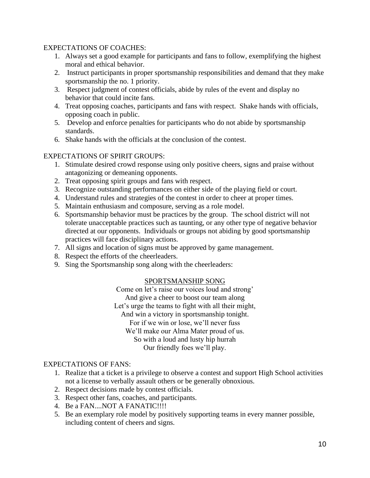#### EXPECTATIONS OF COACHES:

- 1. Always set a good example for participants and fans to follow, exemplifying the highest moral and ethical behavior.
- 2. Instruct participants in proper sportsmanship responsibilities and demand that they make sportsmanship the no. 1 priority.
- 3. Respect judgment of contest officials, abide by rules of the event and display no behavior that could incite fans.
- 4. Treat opposing coaches, participants and fans with respect. Shake hands with officials, opposing coach in public.
- 5. Develop and enforce penalties for participants who do not abide by sportsmanship standards.
- 6. Shake hands with the officials at the conclusion of the contest.

#### EXPECTATIONS OF SPIRIT GROUPS:

- 1. Stimulate desired crowd response using only positive cheers, signs and praise without antagonizing or demeaning opponents.
- 2. Treat opposing spirit groups and fans with respect.
- 3. Recognize outstanding performances on either side of the playing field or court.
- 4. Understand rules and strategies of the contest in order to cheer at proper times.
- 5. Maintain enthusiasm and composure, serving as a role model.
- 6. Sportsmanship behavior must be practices by the group. The school district will not tolerate unacceptable practices such as taunting, or any other type of negative behavior directed at our opponents. Individuals or groups not abiding by good sportsmanship practices will face disciplinary actions.
- 7. All signs and location of signs must be approved by game management.
- 8. Respect the efforts of the cheerleaders.
- 9. Sing the Sportsmanship song along with the cheerleaders:

#### SPORTSMANSHIP SONG

Come on let's raise our voices loud and strong' And give a cheer to boost our team along Let's urge the teams to fight with all their might, And win a victory in sportsmanship tonight. For if we win or lose, we'll never fuss We'll make our Alma Mater proud of us. So with a loud and lusty hip hurrah Our friendly foes we'll play.

#### EXPECTATIONS OF FANS:

- 1. Realize that a ticket is a privilege to observe a contest and support High School activities not a license to verbally assault others or be generally obnoxious.
- 2. Respect decisions made by contest officials.
- 3. Respect other fans, coaches, and participants.
- 4. Be a FAN....NOT A FANATIC!!!!
- 5. Be an exemplary role model by positively supporting teams in every manner possible, including content of cheers and signs.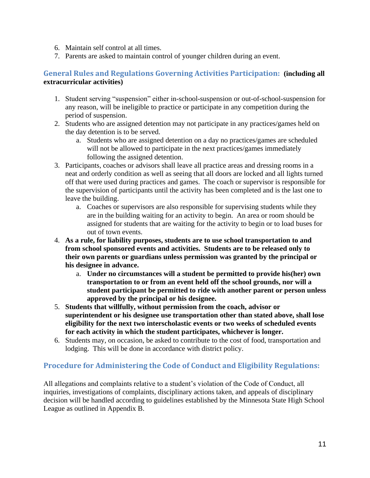- 6. Maintain self control at all times.
- 7. Parents are asked to maintain control of younger children during an event.

#### <span id="page-10-0"></span>**General Rules and Regulations Governing Activities Participation: (including all extracurricular activities)**

- 1. Student serving "suspension" either in-school-suspension or out-of-school-suspension for any reason, will be ineligible to practice or participate in any competition during the period of suspension.
- 2. Students who are assigned detention may not participate in any practices/games held on the day detention is to be served.
	- a. Students who are assigned detention on a day no practices/games are scheduled will not be allowed to participate in the next practices/games immediately following the assigned detention.
- 3. Participants, coaches or advisors shall leave all practice areas and dressing rooms in a neat and orderly condition as well as seeing that all doors are locked and all lights turned off that were used during practices and games. The coach or supervisor is responsible for the supervision of participants until the activity has been completed and is the last one to leave the building.
	- a. Coaches or supervisors are also responsible for supervising students while they are in the building waiting for an activity to begin. An area or room should be assigned for students that are waiting for the activity to begin or to load buses for out of town events.
- 4. **As a rule, for liability purposes, students are to use school transportation to and from school sponsored events and activities. Students are to be released only to their own parents or guardians unless permission was granted by the principal or his designee in advance.**
	- a. **Under no circumstances will a student be permitted to provide his(her) own transportation to or from an event held off the school grounds, nor will a student participant be permitted to ride with another parent or person unless approved by the principal or his designee.**
- 5. **Students that willfully, without permission from the coach, advisor or superintendent or his designee use transportation other than stated above, shall lose eligibility for the next two interscholastic events or two weeks of scheduled events for each activity in which the student participates, whichever is longer.**
- 6. Students may, on occasion, be asked to contribute to the cost of food, transportation and lodging. This will be done in accordance with district policy.

#### <span id="page-10-1"></span>**Procedure for Administering the Code of Conduct and Eligibility Regulations:**

All allegations and complaints relative to a student's violation of the Code of Conduct, all inquiries, investigations of complaints, disciplinary actions taken, and appeals of disciplinary decision will be handled according to guidelines established by the Minnesota State High School League as outlined in Appendix B.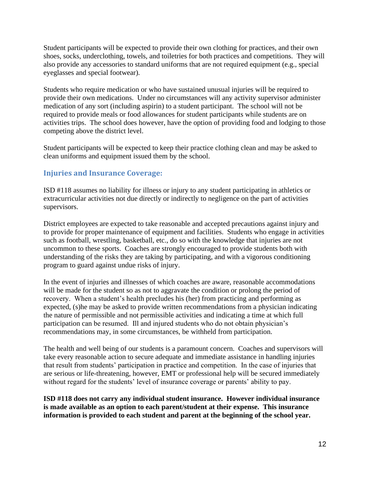Student participants will be expected to provide their own clothing for practices, and their own shoes, socks, underclothing, towels, and toiletries for both practices and competitions. They will also provide any accessories to standard uniforms that are not required equipment (e.g., special eyeglasses and special footwear).

Students who require medication or who have sustained unusual injuries will be required to provide their own medications. Under no circumstances will any activity supervisor administer medication of any sort (including aspirin) to a student participant. The school will not be required to provide meals or food allowances for student participants while students are on activities trips. The school does however, have the option of providing food and lodging to those competing above the district level.

Student participants will be expected to keep their practice clothing clean and may be asked to clean uniforms and equipment issued them by the school.

#### <span id="page-11-0"></span>**Injuries and Insurance Coverage:**

ISD #118 assumes no liability for illness or injury to any student participating in athletics or extracurricular activities not due directly or indirectly to negligence on the part of activities supervisors.

District employees are expected to take reasonable and accepted precautions against injury and to provide for proper maintenance of equipment and facilities. Students who engage in activities such as football, wrestling, basketball, etc., do so with the knowledge that injuries are not uncommon to these sports. Coaches are strongly encouraged to provide students both with understanding of the risks they are taking by participating, and with a vigorous conditioning program to guard against undue risks of injury.

In the event of injuries and illnesses of which coaches are aware, reasonable accommodations will be made for the student so as not to aggravate the condition or prolong the period of recovery. When a student's health precludes his (her) from practicing and performing as expected, (s)he may be asked to provide written recommendations from a physician indicating the nature of permissible and not permissible activities and indicating a time at which full participation can be resumed. Ill and injured students who do not obtain physician's recommendations may, in some circumstances, be withheld from participation.

The health and well being of our students is a paramount concern. Coaches and supervisors will take every reasonable action to secure adequate and immediate assistance in handling injuries that result from students' participation in practice and competition. In the case of injuries that are serious or life-threatening, however, EMT or professional help will be secured immediately without regard for the students' level of insurance coverage or parents' ability to pay.

**ISD #118 does not carry any individual student insurance. However individual insurance is made available as an option to each parent/student at their expense. This insurance information is provided to each student and parent at the beginning of the school year.**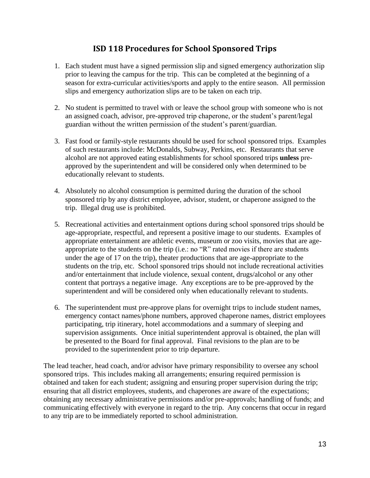### **ISD 118 Procedures for School Sponsored Trips**

- <span id="page-12-0"></span>1. Each student must have a signed permission slip and signed emergency authorization slip prior to leaving the campus for the trip. This can be completed at the beginning of a season for extra-curricular activities/sports and apply to the entire season. All permission slips and emergency authorization slips are to be taken on each trip.
- 2. No student is permitted to travel with or leave the school group with someone who is not an assigned coach, advisor, pre-approved trip chaperone, or the student's parent/legal guardian without the written permission of the student's parent/guardian.
- 3. Fast food or family-style restaurants should be used for school sponsored trips. Examples of such restaurants include: McDonalds, Subway, Perkins, etc. Restaurants that serve alcohol are not approved eating establishments for school sponsored trips **unless** preapproved by the superintendent and will be considered only when determined to be educationally relevant to students.
- 4. Absolutely no alcohol consumption is permitted during the duration of the school sponsored trip by any district employee, advisor, student, or chaperone assigned to the trip. Illegal drug use is prohibited.
- 5. Recreational activities and entertainment options during school sponsored trips should be age-appropriate, respectful, and represent a positive image to our students. Examples of appropriate entertainment are athletic events, museum or zoo visits, movies that are ageappropriate to the students on the trip (i.e.: no "R" rated movies if there are students under the age of 17 on the trip), theater productions that are age-appropriate to the students on the trip, etc. School sponsored trips should not include recreational activities and/or entertainment that include violence, sexual content, drugs/alcohol or any other content that portrays a negative image. Any exceptions are to be pre-approved by the superintendent and will be considered only when educationally relevant to students.
- 6. The superintendent must pre-approve plans for overnight trips to include student names, emergency contact names/phone numbers, approved chaperone names, district employees participating, trip itinerary, hotel accommodations and a summary of sleeping and supervision assignments. Once initial superintendent approval is obtained, the plan will be presented to the Board for final approval. Final revisions to the plan are to be provided to the superintendent prior to trip departure.

The lead teacher, head coach, and/or advisor have primary responsibility to oversee any school sponsored trips. This includes making all arrangements; ensuring required permission is obtained and taken for each student; assigning and ensuring proper supervision during the trip; ensuring that all district employees, students, and chaperones are aware of the expectations; obtaining any necessary administrative permissions and/or pre-approvals; handling of funds; and communicating effectively with everyone in regard to the trip. Any concerns that occur in regard to any trip are to be immediately reported to school administration.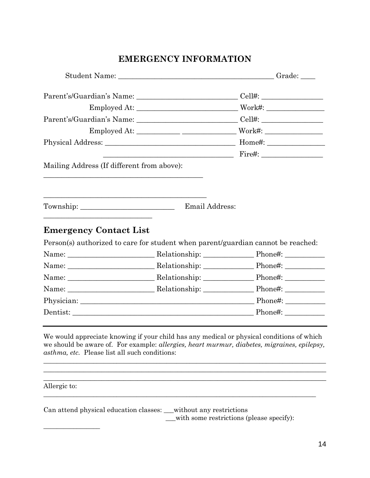# **EMERGENCY INFORMATION**

|                                            |                                                                                  | Parent's/Guardian's Name: __________________________________Cell#: ______________                                                                                                                                                                                                                                                                                                                                                                                         |
|--------------------------------------------|----------------------------------------------------------------------------------|---------------------------------------------------------------------------------------------------------------------------------------------------------------------------------------------------------------------------------------------------------------------------------------------------------------------------------------------------------------------------------------------------------------------------------------------------------------------------|
|                                            |                                                                                  |                                                                                                                                                                                                                                                                                                                                                                                                                                                                           |
|                                            |                                                                                  | Parent's/Guardian's Name: __________________________________Cell#: ______________                                                                                                                                                                                                                                                                                                                                                                                         |
|                                            |                                                                                  |                                                                                                                                                                                                                                                                                                                                                                                                                                                                           |
|                                            |                                                                                  |                                                                                                                                                                                                                                                                                                                                                                                                                                                                           |
|                                            |                                                                                  |                                                                                                                                                                                                                                                                                                                                                                                                                                                                           |
| Mailing Address (If different from above): |                                                                                  |                                                                                                                                                                                                                                                                                                                                                                                                                                                                           |
|                                            |                                                                                  |                                                                                                                                                                                                                                                                                                                                                                                                                                                                           |
| Township: $\sqrt{2\pi}$                    | Email Address:                                                                   |                                                                                                                                                                                                                                                                                                                                                                                                                                                                           |
| <b>Emergency Contact List</b>              |                                                                                  |                                                                                                                                                                                                                                                                                                                                                                                                                                                                           |
|                                            |                                                                                  |                                                                                                                                                                                                                                                                                                                                                                                                                                                                           |
|                                            | Person(s) authorized to care for student when parent/guardian cannot be reached: |                                                                                                                                                                                                                                                                                                                                                                                                                                                                           |
|                                            |                                                                                  | Name: Name: Nelationship: Nelationship: Phone#: Nelationship:                                                                                                                                                                                                                                                                                                                                                                                                             |
|                                            |                                                                                  |                                                                                                                                                                                                                                                                                                                                                                                                                                                                           |
|                                            |                                                                                  |                                                                                                                                                                                                                                                                                                                                                                                                                                                                           |
|                                            |                                                                                  |                                                                                                                                                                                                                                                                                                                                                                                                                                                                           |
|                                            |                                                                                  | Name: Name: Nelationship: Nelationship: Phone#: Nelationship:<br>Name: Name: Name: Nelationship: Nelationship: Nelationship: Nelationship: Nelationship: Nelson Phone#:<br>Name: Name: Nelationship: Nelationship: Phone#: Nelationship:<br>Physician: Physician: Phone#: Phone#: Phone#: Phone#: Phone#: Phone#: Phone#: Phone#: Phone#: Phone#: Phone#: Phone#: Phone#: Phone#: Phone#: Phone#: Phone#: Phone#: Phone#: Phone#: Phone#: Phone#: Phone#: Phone#: Phone#: |

We would appreciate knowing if your child has any medical or physical conditions of which we should be aware of. For example: *allergies, heart murmur, diabetes, migraines, epilepsy, asthma, etc.* Please list all such conditions:

\_\_\_\_\_\_\_\_\_\_\_\_\_\_\_\_\_\_\_\_\_\_\_\_\_\_\_\_\_\_\_\_\_\_\_\_\_\_\_\_\_\_\_\_\_\_\_\_\_\_\_\_\_\_\_\_\_\_\_\_\_\_\_\_\_\_\_\_\_\_\_\_\_\_\_\_\_\_\_\_\_\_\_\_\_  $\_$  , and the set of the set of the set of the set of the set of the set of the set of the set of the set of the set of the set of the set of the set of the set of the set of the set of the set of the set of the set of th  $\mathcal{L}_\mathcal{L}$  , and the contribution of the contribution of the contribution of the contribution of the contribution of the contribution of the contribution of the contribution of the contribution of the contribution of

\_\_\_\_\_\_\_\_\_\_\_\_\_\_\_\_\_\_\_\_\_\_\_\_\_\_\_\_\_\_\_\_\_\_\_\_\_\_\_\_\_\_\_\_\_\_\_\_\_\_\_\_\_\_\_\_\_\_\_\_\_\_\_\_\_\_\_\_\_\_\_\_\_\_\_\_\_\_\_\_\_\_

Allergic to:

\_\_\_\_\_\_\_\_\_\_\_\_\_\_\_\_\_

Can attend physical education classes: \_\_\_without any restrictions \_\_\_with some restrictions (please specify):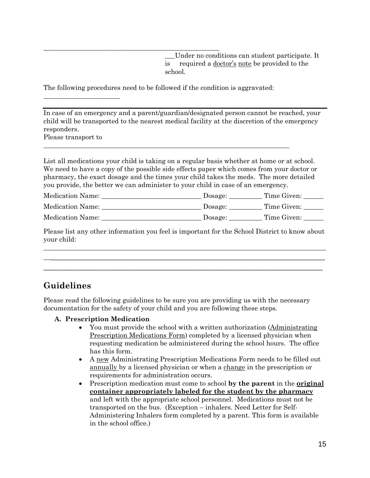\_\_\_Under no conditions can student participate. It is required a doctor's note be provided to the school.

The following procedures need to be followed if the condition is aggravated:

\_\_\_\_\_\_\_\_\_\_\_\_\_\_\_\_\_\_\_\_\_\_\_\_\_\_\_\_\_\_\_\_\_\_\_\_\_\_\_\_\_\_\_\_\_\_\_\_\_\_\_\_\_\_\_\_\_\_\_\_\_\_\_\_\_\_\_\_\_\_\_\_\_\_

\_\_\_\_\_\_\_\_\_\_\_\_\_\_\_\_\_\_\_\_\_\_\_\_\_\_\_\_\_\_\_\_\_\_\_\_\_\_\_\_\_\_\_\_\_\_\_\_\_\_\_\_\_

In case of an emergency and a parent/guardian/designated person cannot be reached, your child will be transported to the nearest medical facility at the discretion of the emergency responders.

Please transport to

\_\_\_\_\_\_\_\_\_\_\_\_\_\_\_\_\_\_\_\_\_\_\_

List all medications your child is taking on a regular basis whether at home or at school. We need to have a copy of the possible side effects paper which comes from your doctor or pharmacy, the exact dosage and the times your child takes the meds. The more detailed you provide, the better we can administer to your child in case of an emergency.

| <b>Medication Name:</b> | Dosage: | Time Given: |
|-------------------------|---------|-------------|
|                         |         |             |

| <b>Medication Name:</b> | Dosage: | Time Given: |
|-------------------------|---------|-------------|
|                         |         |             |

| <b>Medication Name:</b> | Josage: | Time Given: |
|-------------------------|---------|-------------|
|                         |         |             |

Please list any other information you feel is important for the School District to know about your child:  $\_$  , and the set of the set of the set of the set of the set of the set of the set of the set of the set of the set of the set of the set of the set of the set of the set of the set of the set of the set of the set of th

 $\overline{\phantom{a}}$  , and the contribution of the contribution of the contribution of the contribution of the contribution of the contribution of the contribution of the contribution of the contribution of the contribution of the \_\_\_\_\_\_\_\_\_\_\_\_\_\_\_\_\_\_\_\_\_\_\_\_\_\_\_\_\_\_\_\_\_\_\_\_\_\_\_\_\_\_\_\_\_\_\_\_\_\_\_\_\_\_\_\_\_\_\_\_\_\_\_\_\_\_

#### **Guidelines**

Please read the following guidelines to be sure you are providing us with the necessary documentation for the safety of your child and you are following these steps.

#### **A. Prescription Medication**

- You must provide the school with a written authorization (Administrating Prescription Medications Form) completed by a licensed physician when requesting medication be administered during the school hours. The office has this form.
- A new Administrating Prescription Medications Form needs to be filled out annually by a licensed physician or when a change in the prescription or requirements for administration occurs.
- Prescription medication must come to school **by the parent** in the **original container appropriately labeled for the student by the pharmacy** and left with the appropriate school personnel. Medications must not be transported on the bus. (Exception – inhalers. Need Letter for Self-Administering Inhalers form completed by a parent. This form is available in the school office.)